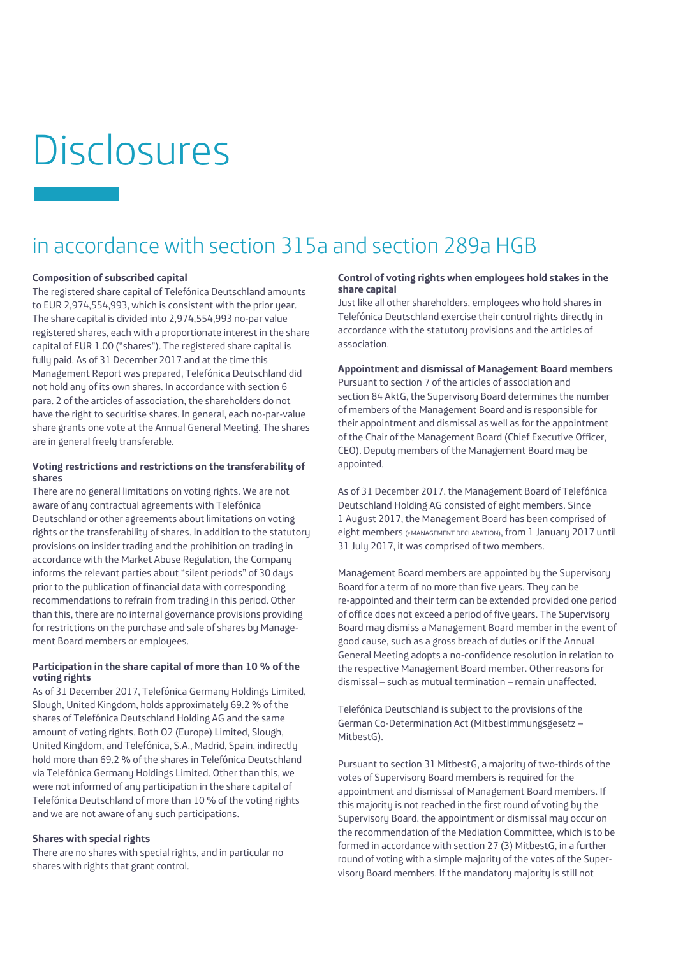# **Disclosures**

# in accordance with section 315a and section 289a HGB

## **Composition of subscribed capital**

The registered share capital of Telefónica Deutschland amounts to EUR 2,974,554,993, which is consistent with the prior year. The share capital is divided into 2,974,554,993 no-par value registered shares, each with a proportionate interest in the share capital of EUR 1.00 ("shares"). The registered share capital is fully paid. As of 31 December 2017 and at the time this Management Report was prepared, Telefónica Deutschland did not hold any of its own shares. In accordance with section 6 para. 2 of the articles of association, the shareholders do not have the right to securitise shares. In general, each no-par-value share grants one vote at the Annual General Meeting. The shares are in general freely transferable.

# **Voting restrictions and restrictions on the transferability of shares**

There are no general limitations on voting rights. We are not aware of any contractual agreements with Telefónica Deutschland or other agreements about limitations on voting rights or the transferability of shares. In addition to the statutory provisions on insider trading and the prohibition on trading in accordance with the Market Abuse Regulation, the Company informs the relevant parties about "silent periods" of 30 days prior to the publication of financial data with corresponding recommendations to refrain from trading in this period. Other than this, there are no internal governance provisions providing for restrictions on the purchase and sale of shares by Management Board members or employees.

# **Participation in the share capital of more than 10 % of the voting rights**

As of 31 December 2017, Telefónica Germany Holdings Limited, Slough, United Kingdom, holds approximately 69.2 % of the shares of Telefónica Deutschland Holding AG and the same amount of voting rights. Both O2 (Europe) Limited, Slough, United Kingdom, and Telefónica, S.A., Madrid, Spain, indirectly hold more than 69.2 % of the shares in Telefónica Deutschland via Telefónica Germany Holdings Limited. Other than this, we were not informed of any participation in the share capital of Telefónica Deutschland of more than 10 % of the voting rights and we are not aware of any such participations.

# **Shares with special rights**

There are no shares with special rights, and in particular no shares with rights that grant control.

#### **Control of voting rights when employees hold stakes in the share capital**

Just like all other shareholders, employees who hold shares in Telefónica Deutschland exercise their control rights directly in accordance with the statutory provisions and the articles of association.

# **Appointment and dismissal of Management Board members**

Pursuant to section 7 of the articles of association and section 84 AktG, the Supervisory Board determines the number of members of the Management Board and is responsible for their appointment and dismissal as well as for the appointment of the Chair of the Management Board (Chief Executive Officer, CEO). Deputy members of the Management Board may be appointed.

As of 31 December 2017, the Management Board of Telefónica Deutschland Holding AG consisted of eight members. Since 1 August 2017, the Management Board has been comprised of eight members (>MANAGEMENT DECLARATION), from 1 January 2017 until 31 July 2017, it was comprised of two members.

Management Board members are appointed by the Supervisory Board for a term of no more than five years. They can be re-appointed and their term can be extended provided one period of office does not exceed a period of five years. The Supervisory Board may dismiss a Management Board member in the event of good cause, such as a gross breach of duties or if the Annual General Meeting adopts a no-confidence resolution in relation to the respective Management Board member. Other reasons for dismissal – such as mutual termination – remain unaffected.

Telefónica Deutschland is subject to the provisions of the German Co-Determination Act (Mitbestimmungsgesetz – MitbestG).

Pursuant to section 31 MitbestG, a majority of two-thirds of the votes of Supervisory Board members is required for the appointment and dismissal of Management Board members. If this majority is not reached in the first round of voting by the Supervisory Board, the appointment or dismissal may occur on the recommendation of the Mediation Committee, which is to be formed in accordance with section 27 (3) MitbestG, in a further round of voting with a simple majority of the votes of the Supervisory Board members. If the mandatory majority is still not